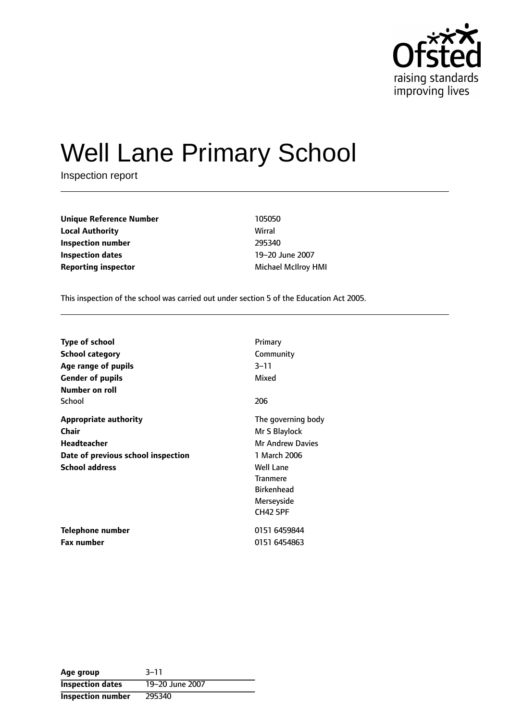

# Well Lane Primary School

Inspection report

**Unique Reference Number** 105050 **Local Authority** Wirral **Inspection number** 295340 **Inspection dates** 19-20 June 2007 **Reporting inspector and a structure of the Michael McIlroy HMI** 

This inspection of the school was carried out under section 5 of the Education Act 2005.

| <b>Type of school</b>              | Primary                 |
|------------------------------------|-------------------------|
| School category                    | Community               |
| Age range of pupils                | $3 - 11$                |
| <b>Gender of pupils</b>            | Mixed                   |
| Number on roll                     |                         |
| School                             | 206                     |
| <b>Appropriate authority</b>       | The governing body      |
| <b>Chair</b>                       | Mr S Blaylock           |
| <b>Headteacher</b>                 | <b>Mr Andrew Davies</b> |
| Date of previous school inspection | 1 March 2006            |
| <b>School address</b>              | <b>Well Lane</b>        |
|                                    | <b>Tranmere</b>         |
|                                    | <b>Birkenhead</b>       |
|                                    | Merseyside              |
|                                    | <b>CH42 5PF</b>         |
| Telephone number                   | 0151 6459844            |
| Fax number                         | 0151 6454863            |

| Age group               | $3 - 11$        |
|-------------------------|-----------------|
| <b>Inspection dates</b> | 19-20 June 2007 |
| Inspection number       | 295340          |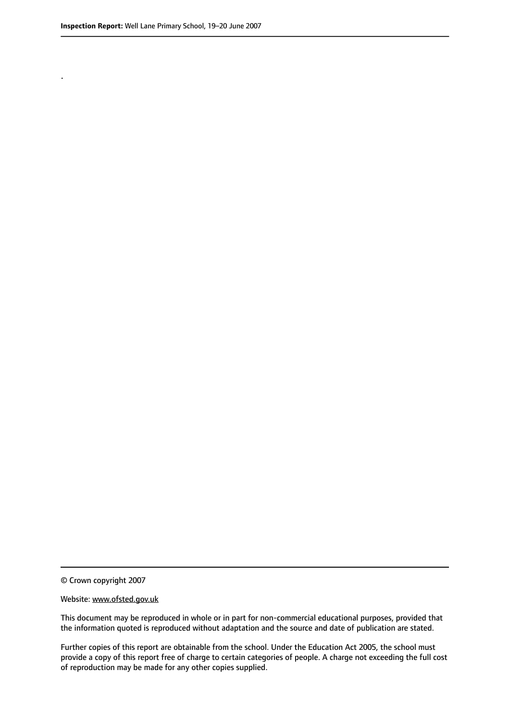.

This document may be reproduced in whole or in part for non-commercial educational purposes, provided that the information quoted is reproduced without adaptation and the source and date of publication are stated.

Further copies of this report are obtainable from the school. Under the Education Act 2005, the school must provide a copy of this report free of charge to certain categories of people. A charge not exceeding the full cost of reproduction may be made for any other copies supplied.

<sup>©</sup> Crown copyright 2007

Website: www.ofsted.gov.uk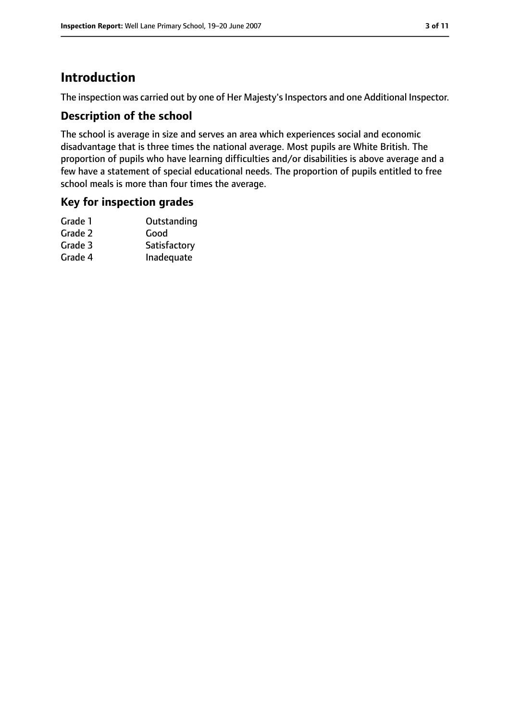### **Introduction**

The inspection was carried out by one of Her Majesty's Inspectors and one Additional Inspector.

#### **Description of the school**

The school is average in size and serves an area which experiences social and economic disadvantage that is three times the national average. Most pupils are White British. The proportion of pupils who have learning difficulties and/or disabilities is above average and a few have a statement of special educational needs. The proportion of pupils entitled to free school meals is more than four times the average.

#### **Key for inspection grades**

| Outstanding  |
|--------------|
| Good         |
| Satisfactory |
| Inadequate   |
|              |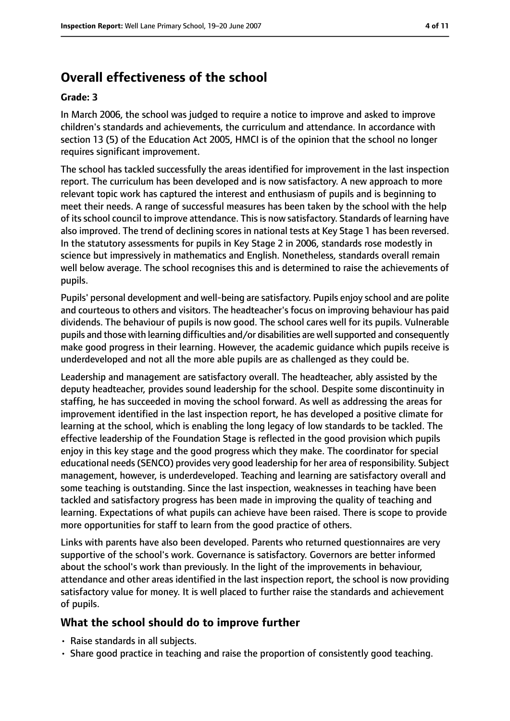### **Overall effectiveness of the school**

#### **Grade: 3**

In March 2006, the school was judged to require a notice to improve and asked to improve children's standards and achievements, the curriculum and attendance. In accordance with section 13 (5) of the Education Act 2005, HMCI is of the opinion that the school no longer requires significant improvement.

The school has tackled successfully the areas identified for improvement in the last inspection report. The curriculum has been developed and is now satisfactory. A new approach to more relevant topic work has captured the interest and enthusiasm of pupils and is beginning to meet their needs. A range of successful measures has been taken by the school with the help of its school council to improve attendance. This is now satisfactory. Standards of learning have also improved. The trend of declining scores in national tests at Key Stage 1 has been reversed. In the statutory assessments for pupils in Key Stage 2 in 2006, standards rose modestly in science but impressively in mathematics and English. Nonetheless, standards overall remain well below average. The school recognises this and is determined to raise the achievements of pupils.

Pupils' personal development and well-being are satisfactory. Pupils enjoy school and are polite and courteous to others and visitors. The headteacher's focus on improving behaviour has paid dividends. The behaviour of pupils is now good. The school cares well for its pupils. Vulnerable pupils and those with learning difficulties and/or disabilities are well supported and consequently make good progress in their learning. However, the academic guidance which pupils receive is underdeveloped and not all the more able pupils are as challenged as they could be.

Leadership and management are satisfactory overall. The headteacher, ably assisted by the deputy headteacher, provides sound leadership for the school. Despite some discontinuity in staffing, he has succeeded in moving the school forward. As well as addressing the areas for improvement identified in the last inspection report, he has developed a positive climate for learning at the school, which is enabling the long legacy of low standards to be tackled. The effective leadership of the Foundation Stage is reflected in the good provision which pupils enjoy in this key stage and the good progress which they make. The coordinator for special educational needs (SENCO) provides very good leadership for her area of responsibility. Subject management, however, is underdeveloped. Teaching and learning are satisfactory overall and some teaching is outstanding. Since the last inspection, weaknesses in teaching have been tackled and satisfactory progress has been made in improving the quality of teaching and learning. Expectations of what pupils can achieve have been raised. There is scope to provide more opportunities for staff to learn from the good practice of others.

Links with parents have also been developed. Parents who returned questionnaires are very supportive of the school's work. Governance is satisfactory. Governors are better informed about the school's work than previously. In the light of the improvements in behaviour, attendance and other areas identified in the last inspection report, the school is now providing satisfactory value for money. It is well placed to further raise the standards and achievement of pupils.

#### **What the school should do to improve further**

- Raise standards in all subjects.
- Share good practice in teaching and raise the proportion of consistently good teaching.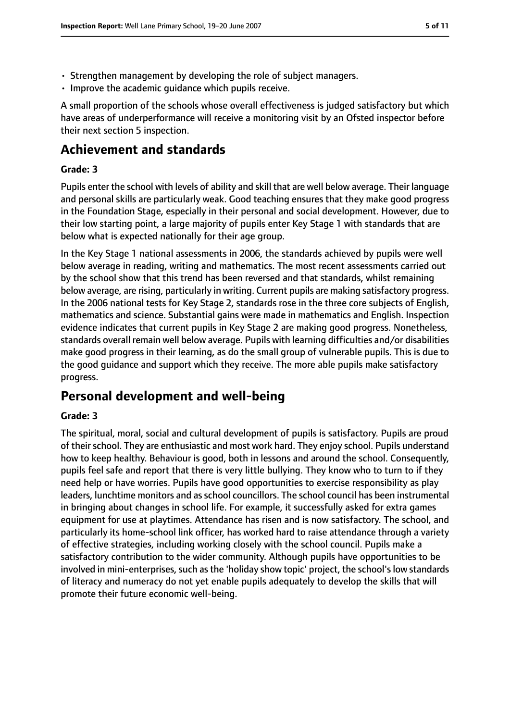- Strengthen management by developing the role of subject managers.
- Improve the academic guidance which pupils receive.

A small proportion of the schools whose overall effectiveness is judged satisfactory but which have areas of underperformance will receive a monitoring visit by an Ofsted inspector before their next section 5 inspection.

### **Achievement and standards**

#### **Grade: 3**

Pupils enter the school with levels of ability and skill that are well below average. Their language and personal skills are particularly weak. Good teaching ensures that they make good progress in the Foundation Stage, especially in their personal and social development. However, due to their low starting point, a large majority of pupils enter Key Stage 1 with standards that are below what is expected nationally for their age group.

In the Key Stage 1 national assessments in 2006, the standards achieved by pupils were well below average in reading, writing and mathematics. The most recent assessments carried out by the school show that this trend has been reversed and that standards, whilst remaining below average, are rising, particularly in writing. Current pupils are making satisfactory progress. In the 2006 national tests for Key Stage 2, standards rose in the three core subjects of English, mathematics and science. Substantial gains were made in mathematics and English. Inspection evidence indicates that current pupils in Key Stage 2 are making good progress. Nonetheless, standards overall remain well below average. Pupils with learning difficulties and/or disabilities make good progress in their learning, as do the small group of vulnerable pupils. This is due to the good guidance and support which they receive. The more able pupils make satisfactory progress.

### **Personal development and well-being**

#### **Grade: 3**

The spiritual, moral, social and cultural development of pupils is satisfactory. Pupils are proud of their school. They are enthusiastic and most work hard. They enjoy school. Pupils understand how to keep healthy. Behaviour is good, both in lessons and around the school. Consequently, pupils feel safe and report that there is very little bullying. They know who to turn to if they need help or have worries. Pupils have good opportunities to exercise responsibility as play leaders, lunchtime monitors and as school councillors. The school council has been instrumental in bringing about changes in school life. For example, it successfully asked for extra games equipment for use at playtimes. Attendance has risen and is now satisfactory. The school, and particularly its home-school link officer, has worked hard to raise attendance through a variety of effective strategies, including working closely with the school council. Pupils make a satisfactory contribution to the wider community. Although pupils have opportunities to be involved in mini-enterprises, such as the 'holiday show topic' project, the school's low standards of literacy and numeracy do not yet enable pupils adequately to develop the skills that will promote their future economic well-being.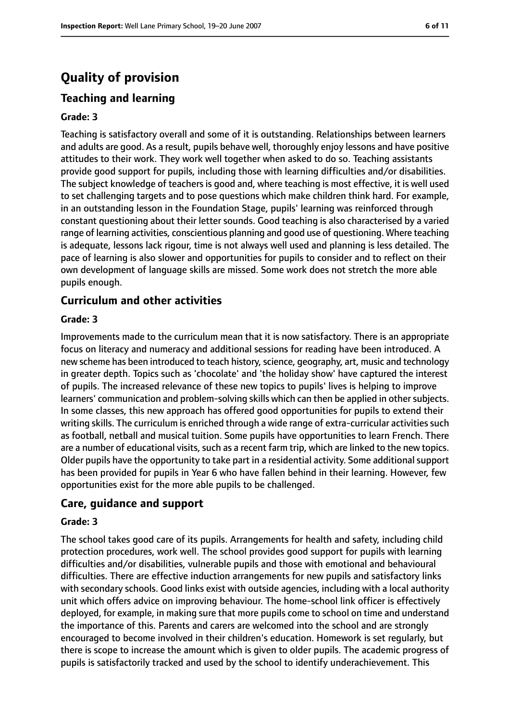### **Quality of provision**

#### **Teaching and learning**

#### **Grade: 3**

Teaching is satisfactory overall and some of it is outstanding. Relationships between learners and adults are good. As a result, pupils behave well, thoroughly enjoy lessons and have positive attitudes to their work. They work well together when asked to do so. Teaching assistants provide good support for pupils, including those with learning difficulties and/or disabilities. The subject knowledge of teachers is good and, where teaching is most effective, it is well used to set challenging targets and to pose questions which make children think hard. For example, in an outstanding lesson in the Foundation Stage, pupils' learning was reinforced through constant questioning about their letter sounds. Good teaching is also characterised by a varied range of learning activities, conscientious planning and good use of questioning. Where teaching is adequate, lessons lack rigour, time is not always well used and planning is less detailed. The pace of learning is also slower and opportunities for pupils to consider and to reflect on their own development of language skills are missed. Some work does not stretch the more able pupils enough.

#### **Curriculum and other activities**

#### **Grade: 3**

Improvements made to the curriculum mean that it is now satisfactory. There is an appropriate focus on literacy and numeracy and additional sessions for reading have been introduced. A new scheme has been introduced to teach history, science, geography, art, music and technology in greater depth. Topics such as 'chocolate' and 'the holiday show' have captured the interest of pupils. The increased relevance of these new topics to pupils' lives is helping to improve learners' communication and problem-solving skills which can then be applied in other subjects. In some classes, this new approach has offered good opportunities for pupils to extend their writing skills. The curriculum is enriched through a wide range of extra-curricular activities such as football, netball and musical tuition. Some pupils have opportunities to learn French. There are a number of educational visits, such as a recent farm trip, which are linked to the new topics. Older pupils have the opportunity to take part in a residential activity. Some additional support has been provided for pupils in Year 6 who have fallen behind in their learning. However, few opportunities exist for the more able pupils to be challenged.

#### **Care, guidance and support**

#### **Grade: 3**

The school takes good care of its pupils. Arrangements for health and safety, including child protection procedures, work well. The school provides good support for pupils with learning difficulties and/or disabilities, vulnerable pupils and those with emotional and behavioural difficulties. There are effective induction arrangements for new pupils and satisfactory links with secondary schools. Good links exist with outside agencies, including with a local authority unit which offers advice on improving behaviour. The home-school link officer is effectively deployed, for example, in making sure that more pupils come to school on time and understand the importance of this. Parents and carers are welcomed into the school and are strongly encouraged to become involved in their children's education. Homework is set regularly, but there is scope to increase the amount which is given to older pupils. The academic progress of pupils is satisfactorily tracked and used by the school to identify underachievement. This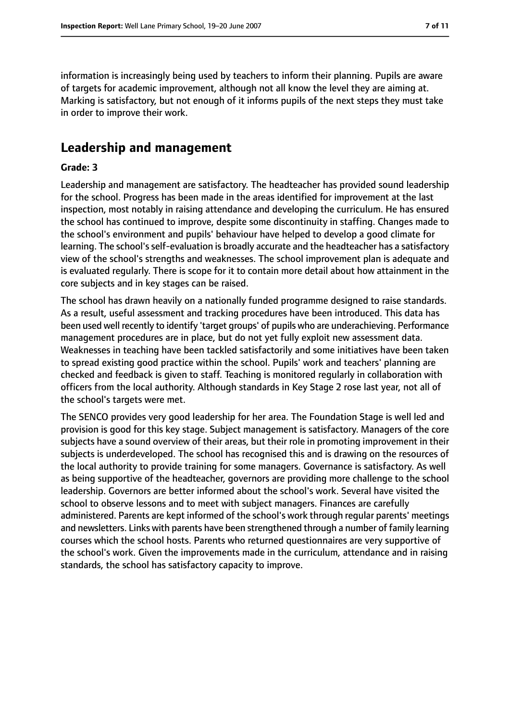information is increasingly being used by teachers to inform their planning. Pupils are aware of targets for academic improvement, although not all know the level they are aiming at. Marking is satisfactory, but not enough of it informs pupils of the next steps they must take in order to improve their work.

### **Leadership and management**

#### **Grade: 3**

Leadership and management are satisfactory. The headteacher has provided sound leadership for the school. Progress has been made in the areas identified for improvement at the last inspection, most notably in raising attendance and developing the curriculum. He has ensured the school has continued to improve, despite some discontinuity in staffing. Changes made to the school's environment and pupils' behaviour have helped to develop a good climate for learning. The school's self-evaluation is broadly accurate and the headteacher has a satisfactory view of the school's strengths and weaknesses. The school improvement plan is adequate and is evaluated regularly. There is scope for it to contain more detail about how attainment in the core subjects and in key stages can be raised.

The school has drawn heavily on a nationally funded programme designed to raise standards. As a result, useful assessment and tracking procedures have been introduced. This data has been used well recently to identify 'target groups' of pupils who are underachieving. Performance management procedures are in place, but do not yet fully exploit new assessment data. Weaknesses in teaching have been tackled satisfactorily and some initiatives have been taken to spread existing good practice within the school. Pupils' work and teachers' planning are checked and feedback is given to staff. Teaching is monitored regularly in collaboration with officers from the local authority. Although standards in Key Stage 2 rose last year, not all of the school's targets were met.

The SENCO provides very good leadership for her area. The Foundation Stage is well led and provision is good for this key stage. Subject management is satisfactory. Managers of the core subjects have a sound overview of their areas, but their role in promoting improvement in their subjects is underdeveloped. The school has recognised this and is drawing on the resources of the local authority to provide training for some managers. Governance is satisfactory. As well as being supportive of the headteacher, governors are providing more challenge to the school leadership. Governors are better informed about the school's work. Several have visited the school to observe lessons and to meet with subject managers. Finances are carefully administered. Parents are kept informed of the school's work through regular parents' meetings and newsletters. Links with parents have been strengthened through a number of family learning courses which the school hosts. Parents who returned questionnaires are very supportive of the school's work. Given the improvements made in the curriculum, attendance and in raising standards, the school has satisfactory capacity to improve.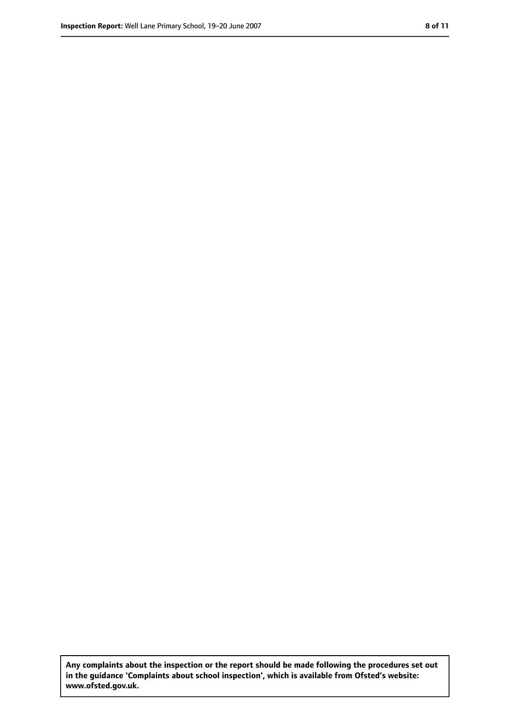**Any complaints about the inspection or the report should be made following the procedures set out in the guidance 'Complaints about school inspection', which is available from Ofsted's website: www.ofsted.gov.uk.**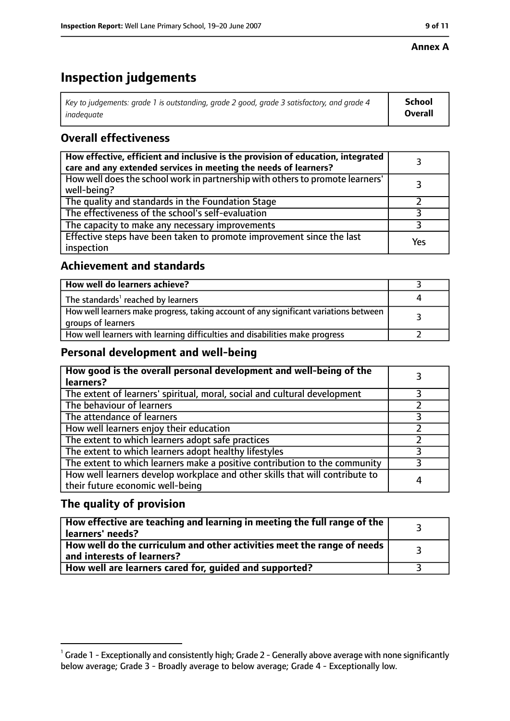#### **Annex A**

## **Inspection judgements**

| Key to judgements: grade 1 is outstanding, grade 2 good, grade 3 satisfactory, and grade 4 | School         |
|--------------------------------------------------------------------------------------------|----------------|
| inadeauate                                                                                 | <b>Overall</b> |

#### **Overall effectiveness**

| How effective, efficient and inclusive is the provision of education, integrated<br>care and any extended services in meeting the needs of learners? |     |
|------------------------------------------------------------------------------------------------------------------------------------------------------|-----|
| How well does the school work in partnership with others to promote learners'<br>well-being?                                                         |     |
| The quality and standards in the Foundation Stage                                                                                                    |     |
| The effectiveness of the school's self-evaluation                                                                                                    |     |
| The capacity to make any necessary improvements                                                                                                      |     |
| Effective steps have been taken to promote improvement since the last<br>inspection                                                                  | Yes |

#### **Achievement and standards**

| How well do learners achieve?                                                                               |  |
|-------------------------------------------------------------------------------------------------------------|--|
| The standards <sup>1</sup> reached by learners                                                              |  |
| How well learners make progress, taking account of any significant variations between<br>groups of learners |  |
| How well learners with learning difficulties and disabilities make progress                                 |  |

#### **Personal development and well-being**

| How good is the overall personal development and well-being of the<br>learners?                                  |   |
|------------------------------------------------------------------------------------------------------------------|---|
| The extent of learners' spiritual, moral, social and cultural development                                        |   |
| The behaviour of learners                                                                                        |   |
| The attendance of learners                                                                                       |   |
| How well learners enjoy their education                                                                          |   |
| The extent to which learners adopt safe practices                                                                |   |
| The extent to which learners adopt healthy lifestyles                                                            |   |
| The extent to which learners make a positive contribution to the community                                       |   |
| How well learners develop workplace and other skills that will contribute to<br>their future economic well-being | 4 |

#### **The quality of provision**

| How effective are teaching and learning in meeting the full range of the<br>learners' needs?          |  |
|-------------------------------------------------------------------------------------------------------|--|
| How well do the curriculum and other activities meet the range of needs<br>and interests of learners? |  |
| How well are learners cared for, quided and supported?                                                |  |

 $^1$  Grade 1 - Exceptionally and consistently high; Grade 2 - Generally above average with none significantly below average; Grade 3 - Broadly average to below average; Grade 4 - Exceptionally low.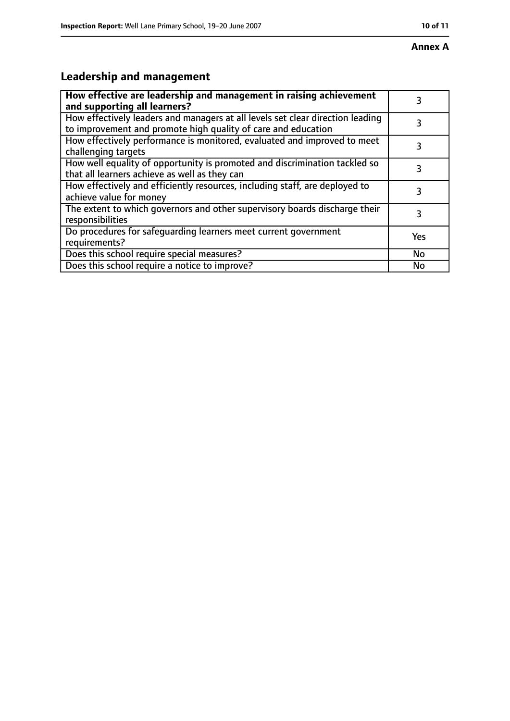### **Leadership and management**

| How effective are leadership and management in raising achievement<br>and supporting all learners?                                              | 3         |
|-------------------------------------------------------------------------------------------------------------------------------------------------|-----------|
| How effectively leaders and managers at all levels set clear direction leading<br>to improvement and promote high quality of care and education |           |
| How effectively performance is monitored, evaluated and improved to meet<br>challenging targets                                                 | 3         |
| How well equality of opportunity is promoted and discrimination tackled so<br>that all learners achieve as well as they can                     | 3         |
| How effectively and efficiently resources, including staff, are deployed to<br>achieve value for money                                          | 3         |
| The extent to which governors and other supervisory boards discharge their<br>responsibilities                                                  | 3         |
| Do procedures for safequarding learners meet current government<br>requirements?                                                                | Yes       |
| Does this school require special measures?                                                                                                      | <b>No</b> |
| Does this school require a notice to improve?                                                                                                   | Nο        |